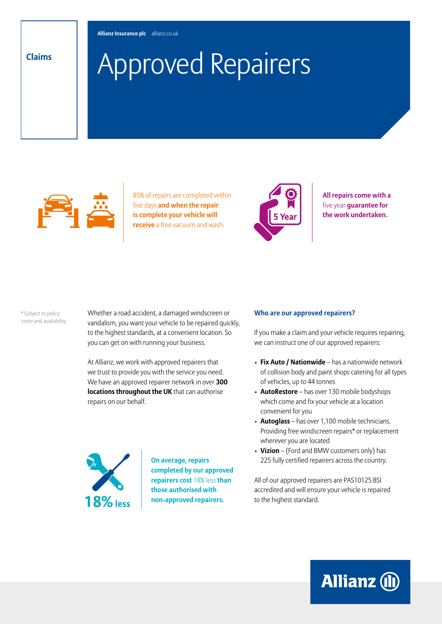# Approved Repairers **Claims**



85% of repairs are completed within five days **and when the repair is complete your vehicle will receive** a free vacuum and wash.



**All repairs come with a**  five year **guarantee for the work undertaken.**

\* Subject to policy cover and availability Whether a road accident, a damaged windscreen or vandalism, you want your vehicle to be repaired quickly, to the highest standards, at a convenient location. So you can get on with running your business.

At Allianz, we work with approved repairers that we trust to provide you with the service you need. We have an approved repairer network in over **300 locations throughout the UK** that can authorise repairs on our behalf.



**On average, repairs completed by our approved repairers cost** 18% less **than those authorised with non-approved repairers.**

#### **Who are our approved repairers?**

If you make a claim and your vehicle requires repairing, we can instruct one of our approved repairers:

- **Fix Auto / Nationwide** has a nationwide network of collision body and paint shops catering for all types of vehicles, up to 44 tonnes
- **AutoRestore** has over 130 mobile bodyshops which come and fix your vehicle at a location convenient for you
- **Autoglass** has over 1,100 mobile technicians. Providing free windscreen repairs\* or replacement wherever you are located
- **Vizion**  (Ford and BMW customers only) has 225 fully certified repairers across the country.

All of our approved repairers are PAS10125 BSI accredited and will ensure your vehicle is repaired to the highest standard.

**Allianz (ll)**